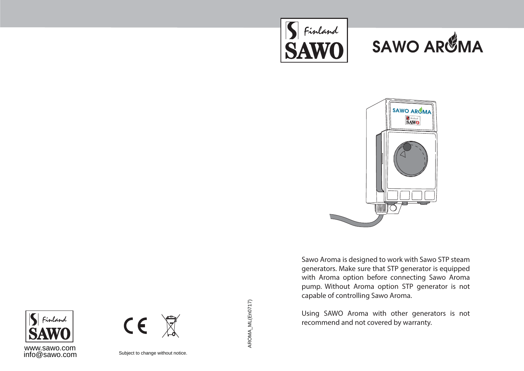





Sawo Aroma is designed to work with Sawo STP steam generators. Make sure that STP generator is equipped with Aroma option before connecting Sawo Aroma pump. Without Aroma option STP generator is not capable of controlling Sawo Aroma.

Using SAWO Aroma with other generators is not recommend and not covered by warranty.





Subject to change without notice.

AROMA\_ML(En0717)

AROMA\_ML(En0717)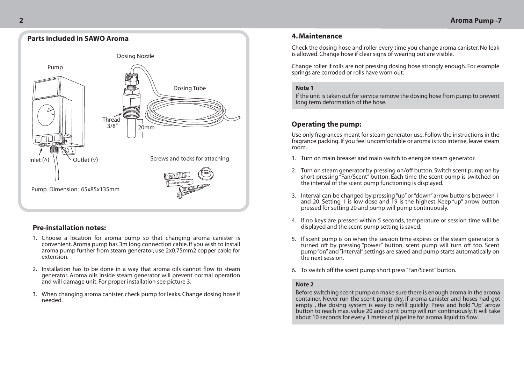

## **Pre-installation notes:**

- 1. Choose a location for aroma pump so that changing aroma canister is convenient. Aroma pump has 3m long connection cable. If you wish to install aroma pump further from steam generator, use 2x0.75mm2 copper cable for extension.
- 2. Installation has to be done in a way that aroma oils cannot flow to steam generator. Aroma oils inside steam generator will prevent normal operation and will damage unit. For proper installation see picture 3.
- When changing aroma canister, check pump for leaks. Change dosing hose if 3. needed.

## **4. Maintenance**

Check the dosing hose and roller every time you change aroma canister. No leak is allowed. Change hose if clear signs of wearing out are visible.

Change roller if rolls are not pressing dosing hose strongly enough. For example springs are corroded or rolls have worn out.

#### **Note 1**

If the unit is taken out for service remove the dosing hose from pump to prevent long term deformation of the hose.

# **Operating the pump:**

Use only fragrances meant for steam generator use. Follow the instructions in the fragrance packing. If you feel uncomfortable or aroma is too intense, leave steam room.

- 1. Turn on main breaker and main switch to energize steam generator.
- 2. Turn on steam generator by pressing on/off button. Switch scent pump on by short pressing "Fan/Scent" button. Each time the scent pump is switched on the interval of the scent pump functioning is displayed.
- 3. Interval can be changed by pressing "up" or "down" arrow buttons between 1 and 20. Setting 1 is low dose and 19 is the highest. Keep "up" arrow button pressed for setting 20 and pump will pump continuously.
- 4. If no keys are pressed within 5 seconds, temperature or session time will be displayed and the scent pump setting is saved.
- 5. If scent pump is on when the session time expires or the steam generator is turned off by pressing "power" button, scent pump will turn off too. Scent pump "on" and "interval" settings are saved and pump starts automatically on the next session.
- To switch off the scent pump short press "Fan/Scent" button. 6.

#### **Note 2**

Before switching scent pump on make sure there is enough aroma in the aroma container. Never run the scent pump dry. if aroma canister and hoses had got empty , the dosing system is easy to refill quickly: Press and hold "Up" arrow button to reach max. value 20 and scent pump will run continuously. It will take about 10 seconds for every 1 meter of pipeline for aroma liquid to flow.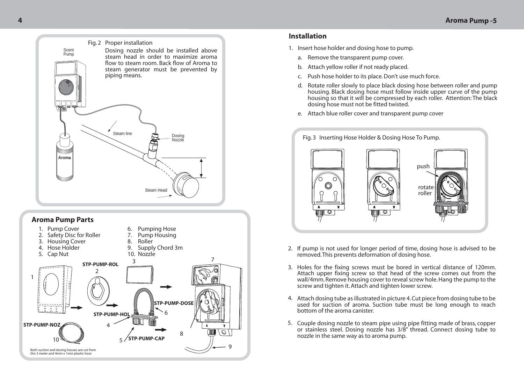

### **Aroma Pump Parts**



### **Installation**

- 1. Insert hose holder and dosing hose to pump.
	- a. Remove the transparent pump cover.
	- b. Attach yellow roller if not ready placed.
	- c. Push hose holder to its place. Don't use much force.
	- d. Botate roller slowly to place black dosing hose between roller and pump housing. Black dosing hose must follow inside upper curve of the pump housing so that it will be compressed by each roller. Attention: The black dosing hose must not be fitted twisted.
	- Attach blue roller cover and transparent pump cover e.



- If pump is not used for longer period of time, dosing hose is advised to be removed. This prevents deformation of dosing hose.<br>2. If pump is not used for longer period of time, dosing hose is advised to be removed. This pr
	- 3. Holes for the fixing screws must be bored in vertical distance of 120mm. Attach upper fixing screw so that head of the screw comes out from the wall/4mm. Remove housing cover to reveal screw hole. Hang the pump to the screw and tighten it. Attach and tighten lower screw.
	- Attach dosing tube as illustrated in picture 4. Cut piece from dosing tube to be 4. used for suction of aroma. Suction tube must be long enough to reach bottom of the aroma canister.
	- 5. Couple dosing nozzle to steam pipe using pipe fitting made of brass, copper or stainless steel. Dosing nozzle has 3/8" thread. Connect dosing tube to nozzle in the same way as to aroma pump.